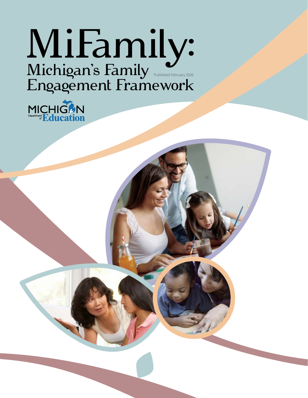# MiFamily: Michigan's Family Engagement Framework Published February 2020

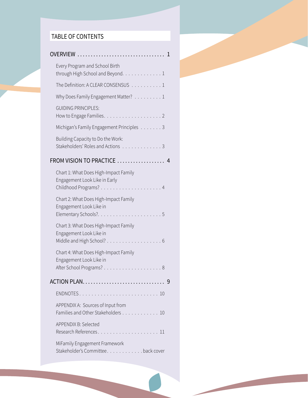### TABLE OF CONTENTS

| overview<br>.                                                                                 | 1 |
|-----------------------------------------------------------------------------------------------|---|
| Every Program and School Birth<br>through High School and Beyond. 1                           |   |
| The Definition: A CLEAR CONSENSUS 1                                                           |   |
| Why Does Family Engagement Matter? 1                                                          |   |
| <b>GUIDING PRINCIPLES:</b>                                                                    |   |
| Michigan's Family Engagement Principles 3                                                     |   |
| Building Capacity to Do the Work:<br>Stakeholders' Roles and Actions 3                        |   |
| FROM VISION TO PRACTICE                                                                       |   |
| Chart 1: What Does High-Impact Family<br>Engagement Look Like in Early                        |   |
| Chart 2: What Does High-Impact Family<br>Engagement Look Like in                              |   |
| Chart 3: What Does High-Impact Family<br>Engagement Look Like in<br>Middle and High School? 6 |   |
| Chart 4: What Does High-Impact Family<br>Engagement Look Like in                              |   |
|                                                                                               | 9 |
|                                                                                               |   |
| APPENDIX A: Sources of Input from<br>Families and Other Stakeholders 10                       |   |
| <b>APPENDIX B: Selected</b>                                                                   |   |
| MiFamily Engagement Framework<br>Stakeholder's Committee. back cover                          |   |
|                                                                                               |   |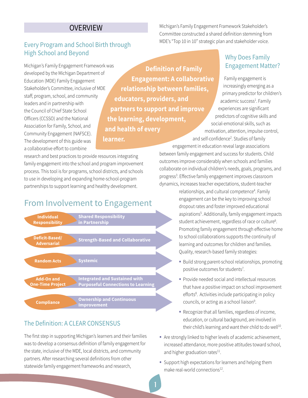#### **OVERVIEW**

### <span id="page-2-0"></span>Every Program and School Birth through High School and Beyond

Michigan's Family Engagement Framework was developed by the Michigan Department of Education (MDE) Family Engagement Stakeholder's Committee, inclusive of MDE staff, program, school, and community leaders and in partnership with the Council of Chief State School Officers (CCSSO) and the National Association for Family, School, and Community Engagement (NAFSCE). The development of this guide was a collaborative effort to combine

**Definition of Family Engagement: A collaborative relationship between families, educators, providers, and partners to support and improve the learning, development, and health of every learner.**

research and best practices to provide resources integrating family engagement into the school and program improvement process. This tool is for programs, school districts, and schools to use in developing and expanding home-school-program partnerships to support learning and healthy development.

### From Involvement to Engagement



#### The Definition: A CLEAR CONSENSUS

The first step in supporting Michigan's learners and their families was to develop a consensus definition of family engagement for the state, inclusive of the MDE, local districts, and community partners. After researching several definitions from other statewide family engagement frameworks and research,

Michigan's Family Engagement Framework Stakeholder's Committee constructed a shared definition stemming from MDE's "Top 10 in 10" strategic plan and stakeholder voice.

### Why Does Family Engagement Matter?

Family engagement is increasingly emerging as a primary predictor for children's academic success<sup>1</sup>. Family experiences are significant predictors of cognitive skills and social-emotional skills, such as motivation, attention, impulse control, and self-confidence<sup>[2](#page-11-0)</sup>. Studies of family

engagement in education reveal large associations between family engagement and success for students. Child outcomes improve considerably when schools and families collaborate on individual children's needs, goals, programs, and progress<sup>[3](#page-11-0)</sup>. Effective family engagement improves classroom dynamics, increases teacher expectations, student-teacher

> relationships, and cultural competence<sup>[4](#page-11-0)</sup>. Family engagement can be the key to improving school dropout rates and foster improved educational aspiration[s5](#page-11-0) . Additionally, family engagement impacts student achievement, regardless of race or culture<sup>6</sup>. Promoting family engagement through effective home to school collaborations supports the continuity of learning and outcomes for children and families. Quality, research-based family strategies:

- **Build strong parent-school relationships, promoting** positive outcomes for students<sup>7</sup>.
- **Provide needed social and intellectual resources** that have a positive impact on school improvement efforts<sup>8</sup>. Activities include participating in policy councils, or acting as a school liaison<sup>[9](#page-11-0)</sup>.
- Recognize that all families, regardless of income, education, or cultural background, are involved in their child's learning and want their child to do well<sup>10</sup>.
- Are strongly linked to higher levels of academic achievement, increased attendance, more positive attitudes toward school, and higher graduation rates $^{11}$ .
- **Support high expectations for learners and helping them** make real-world connections<sup>12</sup>.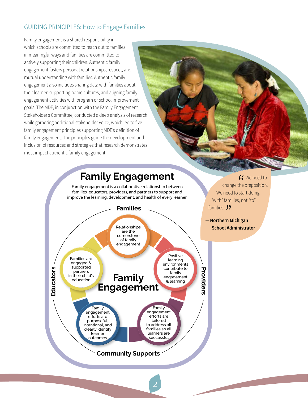### <span id="page-3-0"></span>GUIDING PRINCIPLES: How to Engage Families

Family engagement is a shared responsibility in which schools are committed to reach out to families in meaningful ways and families are committed to actively supporting their children. Authentic family engagement fosters personal relationships, respect, and mutual understanding with families. Authentic family engagement also includes sharing data with families about their learner, supporting home cultures, and aligning family engagement activities with program or school improvement goals. The MDE, in conjunction with the Family Engagement Stakeholder's Committee, conducted a deep analysis of research while garnering additional stakeholder voice, which led to five family engagement principles supporting MDE's definition of family engagement. The principles guide the development and inclusion of resources and strategies that research demonstrates most impact authentic family engagement.

## **Family Engagement**

Family engagement is a collaborative relationship between families, educators, providers, and partners to support and improve the learning, development, and health of every learner.



 $'$ <br>the<br>sta **66** We need to change the preposition. We need to start doing "with" families, not "to" families. **33** 

**— Northern Michigan**  " **School Administrator**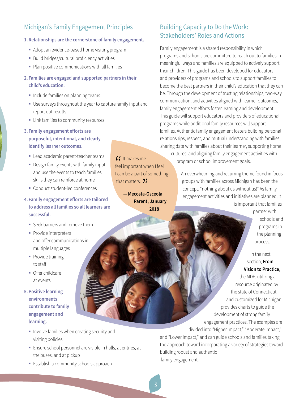### <span id="page-4-0"></span>Michigan's Family Engagement Principles

#### **1. Relationships are the cornerstone of family engagement.**

- Adopt an evidence-based home visiting program
- **Build bridges/cultural proficiency activities**
- Plan positive communications with all families

#### **2. Families are engaged and supported partners in their child's education.**

- **Include families on planning teams**
- Use surveys throughout the year to capture family input and report out results

 $\frac{1}{1}$ 

It makes me

that matters. **)** 

feel important when I feel I can be a part of something

t matters. 22<br>— **Mecosta-Osceola** 

**Parent, January 2018** 

- **EX Link families to community resources**
- **3. Family engagement efforts are purposeful, intentional, and clearly identify learner outcomes.** 
	- **Lead academic parent-teacher teams**
	- Design family events with family input and use the events to teach families skills they can reinforce at home
	- **Conduct student-led conferences**
- **4. Family engagement efforts are tailored to address all families so all learners are successful.** 
	- Seek barriers and remove them
	- Provide interpreters and offer communications in multiple languages
	- Provide training to staff
	- **Offer childcare** at events
- **5. Positive learning environments contribute to family engagement and learning.** 
	- **Involve families when creating security and** visiting policies
	- Ensure school personnel are visible in halls, at entries, at the buses, and at pickup
	- **Establish a community schools approach**

### Building Capacity to Do the Work: Stakeholders' Roles and Actions

Family engagement is a shared responsibility in which programs and schools are committed to reach out to families in meaningful ways and families are equipped to actively support their children. This guide has been developed for educators and providers of programs and schools to support families to become the best partners in their child's education that they can be. Through the development of trusting relationships, two-way communication, and activities aligned with learner outcomes, family engagement efforts foster learning and development. This guide will support educators and providers of educational programs while additional family resources will support families. Authentic family engagement fosters building personal relationships, respect, and mutual understanding with families, sharing data with families about their learner, supporting home cultures, and aligning family engagement activities with

program or school improvement goals.

An overwhelming and recurring theme found in focus groups with families across Michigan has been the concept, "nothing about us without us!" As family engagement activities and initiatives are planned, it is important that families

> partner with schools and programs in the planning process.

#### In the next section, **From Vision to Practice**,

the MDE, utilizing a resource originated by the state of Connecticut and customized for Michigan, provides charts to guide the development of strong family engagement practices. The examples are divided into "Higher Impact," "Moderate Impact," and "Lower Impact," and can guide schools and families taking

the approach toward incorporating a variety of strategies toward building robust and authentic family engagement.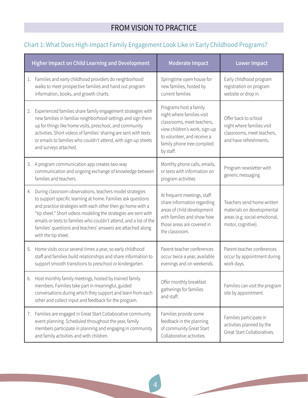### FROM VISION TO PRACTICE

### <span id="page-5-0"></span>Chart 1: What Does High-Impact Family Engagement Look Like in Early Childhood Programs?

| <b>Higher Impact on Child Learning and Development</b> |                                                                                                                                                                                                                                                                                                                                                                                                                         | <b>Moderate Impact</b>                                                                                                                                                                        | <b>Lower Impact</b>                                                                                             |  |
|--------------------------------------------------------|-------------------------------------------------------------------------------------------------------------------------------------------------------------------------------------------------------------------------------------------------------------------------------------------------------------------------------------------------------------------------------------------------------------------------|-----------------------------------------------------------------------------------------------------------------------------------------------------------------------------------------------|-----------------------------------------------------------------------------------------------------------------|--|
| 1.                                                     | Families and early childhood providers do neighborhood<br>walks to meet prospective families and hand out program<br>information, books, and growth charts.                                                                                                                                                                                                                                                             | Springtime open house for<br>new families, hosted by<br>current families                                                                                                                      | Early childhood program<br>registration on program<br>website or drop in                                        |  |
| 2.                                                     | Experienced families share family engagement strategies with<br>new families in familiar neighborhood settings and sign them<br>up for things like home visits, preschool, and community<br>activities. Short videos of families' sharing are sent with texts<br>or emails to families who couldn't attend, with sign-up sheets<br>and surveys attached.                                                                | Programs host a family<br>night where families visit<br>classrooms, meet teachers,<br>view children's work, sign-up<br>to volunteer, and receive a<br>family phone tree compiled<br>by staff. | Offer back to school<br>night where families visit<br>classrooms, meet teachers,<br>and have refreshments.      |  |
|                                                        | 3. A program communication app creates two-way<br>communication and ongoing exchange of knowledge between<br>families and teachers.                                                                                                                                                                                                                                                                                     | Monthly phone calls, emails,<br>or texts with information on<br>program activities                                                                                                            | Program newsletter with<br>generic messaging                                                                    |  |
| 4.                                                     | During classroom observations, teachers model strategies<br>to support specific learning at home. Families ask questions<br>and practice strategies with each other then go home with a<br>"tip sheet." Short videos modeling the strategies are sent with<br>emails or texts to families who couldn't attend, and a list of the<br>families' questions and teachers' answers are attached along<br>with the tip sheet. | At frequent meetings, staff<br>share information regarding<br>areas of child development<br>with families and show how<br>those areas are covered in<br>the classroom.                        | Teachers send home written<br>materials on developmental<br>areas (e.g. social-emotional,<br>motor, cognitive). |  |
| 5.                                                     | Home visits occur several times a year, so early childhood<br>staff and families build relationships and share information to<br>support smooth transitions to preschool or kindergarten.                                                                                                                                                                                                                               | Parent-teacher conferences<br>occur twice a year, available<br>evenings and on weekends.                                                                                                      | Parent-teacher conferences<br>occur by appointment during<br>work days.                                         |  |
|                                                        | 6. Host monthly family meetings, hosted by trained family<br>members. Families take part in meaningful, guided<br>conversations during which they support and learn from each<br>other and collect input and feedback for the program.                                                                                                                                                                                  | Offer monthly breakfast<br>gatherings for families<br>and staff.                                                                                                                              | Families can visit the program<br>site by appointment.                                                          |  |
| 7.                                                     | Families are engaged in Great Start Collaborative community<br>event planning. Scheduled throughout the year, family<br>members participate in planning and engaging in community<br>and family activities and with children.                                                                                                                                                                                           | Families provide some<br>feedback in the planning<br>of community Great Start<br>Collaborative activities.                                                                                    | Families participate in<br>activities planned by the<br>Great Start Collaboratives.                             |  |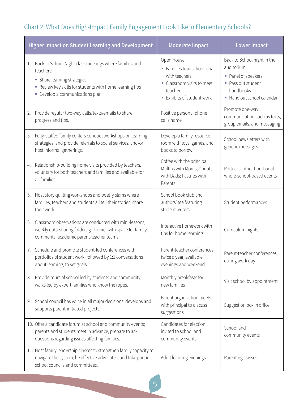### <span id="page-6-0"></span>Chart 2: What Does High-Impact Family Engagement Look Like in Elementary Schools?

|    | <b>Higher Impact on Student Learning and Development</b>                                                                                                                                      | <b>Moderate Impact</b>                                                                                                         | <b>Lower Impact</b>                                                                                                             |  |
|----|-----------------------------------------------------------------------------------------------------------------------------------------------------------------------------------------------|--------------------------------------------------------------------------------------------------------------------------------|---------------------------------------------------------------------------------------------------------------------------------|--|
| 1. | Back to School Night class meetings where families and<br>teachers:<br>• Share learning strategies<br>Review key skills for students with home learning tips<br>Develop a communications plan | Open House<br>Families tour school, chat<br>with teachers<br>• Classroom visits to meet<br>teacher<br>Exhibits of student work | Back to School night in the<br>auditorium<br>• Panel of speakers<br>• Pass out student<br>handbooks<br>Hand out school calendar |  |
| 2. | Provide regular two-way calls/texts/emails to share<br>progress and tips.                                                                                                                     | Positive personal phone<br>calls home                                                                                          | Promote one-way<br>communication such as texts,<br>group emails, and messaging                                                  |  |
| 3. | Fully-staffed family centers conduct workshops on learning<br>strategies, and provide referrals to social services, and/or<br>host informal gatherings.                                       | Develop a family resource<br>room with toys, games, and<br>books to borrow.                                                    | School newsletters with<br>generic messages                                                                                     |  |
| 4. | Relationship-building home visits provided by teachers,<br>voluntary for both teachers and families and available for<br>all families.                                                        | Coffee with the principal;<br>Muffins with Moms; Donuts<br>with Dads; Pastries with<br>Parents                                 | Potlucks, other traditional<br>whole-school-based events                                                                        |  |
| 5. | Host story quilting workshops and poetry slams where<br>families, teachers and students all tell their stories, share<br>their work.                                                          | School book club and<br>authors' tea featuring<br>student writers                                                              | Student performances                                                                                                            |  |
|    | 6. Classroom observations are conducted with mini-lessons;<br>weekly data-sharing folders go home, with space for family<br>comments; academic parent-teacher teams.                          | Interactive homework with<br>tips for home learning                                                                            | Curriculum nights                                                                                                               |  |
|    | 7. Schedule and promote student-led conferences with<br>portfolios of student work, followed by 1:1 conversations<br>about learning, to set goals.                                            | Parent-teacher conferences<br>twice a year, available<br>evenings and weekend                                                  | Parent-teacher conferences,<br>during work day                                                                                  |  |
| 8. | Provide tours of school led by students and community<br>walks led by expert families who know the ropes.                                                                                     | Monthly breakfasts for<br>new families                                                                                         | Visit school by appointment                                                                                                     |  |
| 9. | School council has voice in all major decisions, develops and<br>supports parent-initiated projects.                                                                                          | Parent organization meets<br>with principal to discuss<br>suggestions                                                          | Suggestion box in office                                                                                                        |  |
|    | 10. Offer a candidate forum at school and community events;<br>parents and students meet in advance, prepare to ask<br>questions regarding issues affecting families.                         | Candidates for election<br>invited to school and<br>community events                                                           | School and<br>community events                                                                                                  |  |
|    | 11. Host family leadership classes to strengthen family capacity to<br>navigate the system, be effective advocates, and take part in<br>school councils and committees.                       | Adult learning evenings                                                                                                        | Parenting classes                                                                                                               |  |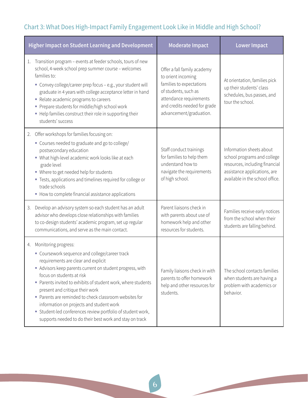### Chart 3: What Does High-Impact Family Engagement Look Like in Middle and High School?

| <b>Higher Impact on Student Learning and Development</b> |                                                                                                                                                                                                                                                                                                                                                                                                                                                                                                                                         | <b>Moderate Impact</b>                                                                                                                                                                      | <b>Lower Impact</b>                                                                                                                                          |  |
|----------------------------------------------------------|-----------------------------------------------------------------------------------------------------------------------------------------------------------------------------------------------------------------------------------------------------------------------------------------------------------------------------------------------------------------------------------------------------------------------------------------------------------------------------------------------------------------------------------------|---------------------------------------------------------------------------------------------------------------------------------------------------------------------------------------------|--------------------------------------------------------------------------------------------------------------------------------------------------------------|--|
| 1.                                                       | Transition program - events at feeder schools, tours of new<br>school, 4-week school prep summer course - welcomes<br>families to:<br>" Convey college/career prep focus - e.g., your student will<br>graduate in 4 years with college acceptance letter in hand<br>• Relate academic programs to careers<br>Prepare students for middle/high school work<br>- Help families construct their role in supporting their<br>students' success                                                                                              | Offer a fall family academy<br>to orient incoming<br>families to expectations<br>of students, such as<br>attendance requirements<br>and credits needed for grade<br>advancement/graduation. | At orientation, families pick<br>up their students' class<br>schedules, bus passes, and<br>tour the school.                                                  |  |
| 2.                                                       | Offer workshops for families focusing on:<br>• Courses needed to graduate and go to college/<br>postsecondary education<br>• What high-level academic work looks like at each<br>grade level<br>• Where to get needed help for students<br>" Tests, applications and timelines required for college or<br>trade schools<br>• How to complete financial assistance applications                                                                                                                                                          | Staff conduct trainings<br>for families to help them<br>understand how to<br>navigate the requirements<br>of high school.                                                                   | Information sheets about<br>school programs and college<br>resources, including financial<br>assistance applications, are<br>available in the school office. |  |
| 3.                                                       | Develop an advisory system so each student has an adult<br>advisor who develops close relationships with families<br>to co-design students' academic program, set up regular<br>communications, and serve as the main contact.                                                                                                                                                                                                                                                                                                          | Parent liaisons check in<br>with parents about use of<br>homework help and other<br>resources for students.                                                                                 | Families receive early notices<br>from the school when their<br>students are falling behind.                                                                 |  |
| 4.                                                       | Monitoring progress:<br>• Coursework sequence and college/career track<br>requirements are clear and explicit<br>• Advisors keep parents current on student progress, with<br>focus on students at risk<br>Parents invited to exhibits of student work, where students<br>present and critique their work<br>Parents are reminded to check classroom websites for<br>information on projects and student work<br>• Student-led conferences review portfolio of student work,<br>supports needed to do their best work and stay on track | Family liaisons check in with<br>parents to offer homework<br>help and other resources for<br>students.                                                                                     | The school contacts families<br>when students are having a<br>problem with academics or<br>behavior.                                                         |  |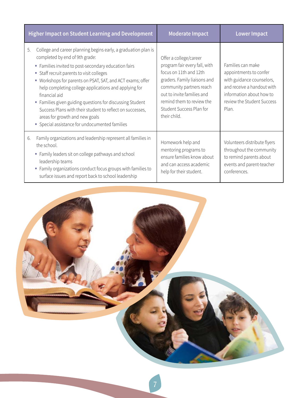<span id="page-8-0"></span>

| <b>Higher Impact on Student Learning and Development</b> |                                                                                                                                                                                                                                                                                                                                                                                                                                                                                                                                                                   | <b>Moderate Impact</b>                                                                                                                                                                                                                               | <b>Lower Impact</b>                                                                                                                                                       |  |
|----------------------------------------------------------|-------------------------------------------------------------------------------------------------------------------------------------------------------------------------------------------------------------------------------------------------------------------------------------------------------------------------------------------------------------------------------------------------------------------------------------------------------------------------------------------------------------------------------------------------------------------|------------------------------------------------------------------------------------------------------------------------------------------------------------------------------------------------------------------------------------------------------|---------------------------------------------------------------------------------------------------------------------------------------------------------------------------|--|
|                                                          | College and career planning begins early, a graduation plan is<br>5.<br>completed by end of 9th grade:<br>• Families invited to post-secondary education fairs<br>• Staff recruit parents to visit colleges<br>• Workshops for parents on PSAT, SAT, and ACT exams; offer<br>help completing college applications and applying for<br>financial aid<br>• Families given guiding questions for discussing Student<br>Success Plans with their student to reflect on successes,<br>areas for growth and new goals<br>• Special assistance for undocumented families | Offer a college/career<br>program fair every fall, with<br>focus on 11th and 12th<br>graders. Family liaisons and<br>community partners reach<br>out to invite families and<br>remind them to review the<br>Student Success Plan for<br>their child. | Families can make<br>appointments to confer<br>with guidance counselors,<br>and receive a handout with<br>information about how to<br>review the Student Success<br>Plan. |  |
|                                                          | Family organizations and leadership represent all families in<br>6.<br>the school.<br>• Family leaders sit on college pathways and school<br>leadership teams<br>• Family organizations conduct focus groups with families to<br>surface issues and report back to school leadership                                                                                                                                                                                                                                                                              | Homework help and<br>mentoring programs to<br>ensure families know about<br>and can access academic<br>help for their student.                                                                                                                       | Volunteers distribute flyers<br>throughout the community<br>to remind parents about<br>events and parent-teacher<br>conferences.                                          |  |

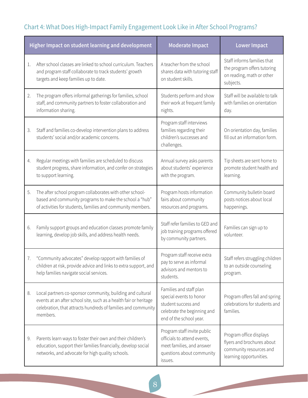### Chart 4: What Does High-Impact Family Engagement Look Like in After School Programs?

| Higher Impact on student learning and development |                                                                                                                                                                                                              | <b>Moderate Impact</b>                                                                                                              | <b>Lower Impact</b>                                                                                         |  |
|---------------------------------------------------|--------------------------------------------------------------------------------------------------------------------------------------------------------------------------------------------------------------|-------------------------------------------------------------------------------------------------------------------------------------|-------------------------------------------------------------------------------------------------------------|--|
| 1.                                                | After school classes are linked to school curriculum. Teachers<br>and program staff collaborate to track students' growth<br>targets and keep families up to date.                                           | A teacher from the school<br>shares data with tutoring staff<br>on student skills.                                                  | Staff informs families that<br>the program offers tutoring<br>on reading, math or other<br>subjects.        |  |
| 2.                                                | The program offers informal gatherings for families, school<br>staff, and community partners to foster collaboration and<br>information sharing.                                                             | Students perform and show<br>their work at frequent family<br>nights.                                                               | Staff will be available to talk<br>with families on orientation<br>day.                                     |  |
| 3.                                                | Staff and families co-develop intervention plans to address<br>students' social and/or academic concerns.                                                                                                    | Program staff interviews<br>families regarding their<br>children's successes and<br>challenges.                                     | On orientation day, families<br>fill out an information form.                                               |  |
| 4.                                                | Regular meetings with families are scheduled to discuss<br>student progress, share information, and confer on strategies<br>to support learning.                                                             | Annual survey asks parents<br>about students' experience<br>with the program.                                                       | Tip sheets are sent home to<br>promote student health and<br>learning.                                      |  |
| 5.                                                | The after school program collaborates with other school-<br>based and community programs to make the school a "hub"<br>of activities for students, families and community members.                           | Program hosts information<br>fairs about community<br>resources and programs.                                                       | Community bulletin board<br>posts notices about local<br>happenings.                                        |  |
| 6.                                                | Family support groups and education classes promote family<br>learning, develop job skills, and address health needs.                                                                                        | Staff refer families to GED and<br>job training programs offered<br>by community partners.                                          | Families can sign up to<br>volunteer.                                                                       |  |
| 7.                                                | "Community advocates" develop rapport with families of<br>children at risk, provide advice and links to extra support, and<br>help families navigate social services.                                        | Program staff receive extra<br>pay to serve as informal<br>advisors and mentors to<br>students.                                     | Staff refers struggling children<br>to an outside counseling<br>program.                                    |  |
| 8.                                                | Local partners co-sponsor community, building and cultural<br>events at an after school site, such as a health fair or heritage<br>celebration, that attracts hundreds of families and community<br>members. | Families and staff plan<br>special events to honor<br>student success and<br>celebrate the beginning and<br>end of the school year. | Program offers fall and spring<br>celebrations for students and<br>families.                                |  |
| 9.                                                | Parents learn ways to foster their own and their children's<br>education, support their families financially, develop social<br>networks, and advocate for high quality schools.                             | Program staff invite public<br>officials to attend events,<br>meet families, and answer<br>questions about community<br>issues.     | Program office displays<br>flyers and brochures about<br>community resources and<br>learning opportunities. |  |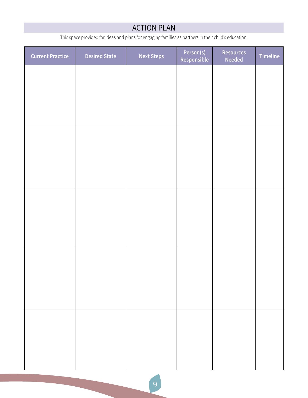### ACTION PLAN

This space provided for ideas and plans for engaging families as partners in their child's education.

<span id="page-10-0"></span>

| <b>Current Practice</b> | <b>Desired State</b> | <b>Next Steps</b> | Person(s)<br>Responsible | <b>Resources</b><br><b>Needed</b> | Timeline |
|-------------------------|----------------------|-------------------|--------------------------|-----------------------------------|----------|
|                         |                      |                   |                          |                                   |          |
|                         |                      |                   |                          |                                   |          |
|                         |                      |                   |                          |                                   |          |
|                         |                      |                   |                          |                                   |          |
|                         |                      |                   |                          |                                   |          |
|                         |                      |                   |                          |                                   |          |
|                         |                      |                   |                          |                                   |          |
|                         |                      |                   |                          |                                   |          |
|                         |                      |                   |                          |                                   |          |
|                         |                      |                   |                          |                                   |          |
|                         |                      |                   |                          |                                   |          |
|                         |                      |                   |                          |                                   |          |
|                         |                      |                   |                          |                                   |          |
|                         |                      |                   |                          |                                   |          |
|                         |                      |                   |                          |                                   |          |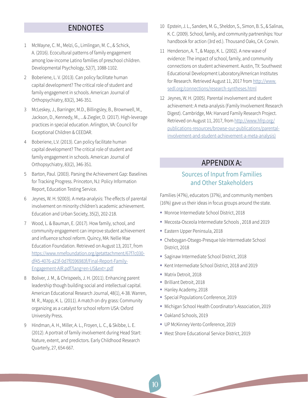### ENDNOTES

- <span id="page-11-0"></span>[1](#page-2-0) McWayne, C. M., Melzi, G., Limlingan, M. C., & Schick, A. (2016). Ecocultural patterns of family engagement among low-income Latino families of preschool children. Developmental Psychology, 52(7), 1088-1102.
- [2](#page-2-0) Boberiene, L. V. (2013). Can policy facilitate human capital development? The critical role of student and family engagement in schools. American Journal of Orthopsychiatry, 83(2), 346-351.
- [3](#page-2-0) McLeskey, J., Barringer, M.D., Billingsley, B., Brownwell, M., Jackson, D., Kennedy, M., ...& Ziegler, D. (2017). High-leverage practices in special education. Arlington, VA: Council for Exceptional Children & CEEDAR.
- [4](#page-2-0) Boberiene, L.V. (2013). Can policy facilitate human capital development? The critical role of student and family engagement in schools. American Journal of Orthopsychiatry, 83(2), 346-351.
- [5](#page-2-0) Barton, Paul. (2003). Parsing the Achievement Gap: Baselines for Tracking Progress. Princeton, NJ: Policy Information Report, Education Testing Service.
- [6](#page-2-0) Jeynes, W. H. 92003). A meta-analysis: The effects of parental involvement on minority children's academic achievement. Education and Urban Society, 35(2), 202-218.
- [7](#page-2-0) Wood, L. & Bauman, E. (2017). How family, school, and community engagement can improve student achievement and influence school reform. Quincy, MA: Nellie Mae Education Foundation. Retrieved on August 13, 2017, from [https://www.nmefoundation.org/getattachment/67f7c030](https://www.nmefoundation.org/getattachment/67f7c030-df45-4076-a23f-0d7f0596983f/Final-Report-Famil) [df45-4076-a23f-0d7f0596983f/Final-Report-Family-](https://www.nmefoundation.org/getattachment/67f7c030-df45-4076-a23f-0d7f0596983f/Final-Report-Famil)[Engagement-AIR.pdf?lang=en-US&ext=.pdf](https://www.nmefoundation.org/getattachment/67f7c030-df45-4076-a23f-0d7f0596983f/Final-Report-Famil)
- 8 Boliver, J. M., & Chrispeels, J. H. (2011). Enhancing parent leadership though building social and intellectual capital. American Educational Research Journal, 48(1), 4-38. Warren, M. R., Mapp, K. L. (2011). A match on dry grass: Community organizing as a catalyst for school reform USA: Oxford University Press.
- [9](#page-2-0) Hindman, A. H., Miller, A. L., Froyen, L. C., & Skibbe, L. E. (2012). A portrait of family involvement during Head Start: Nature, extent, and predictors. Early Childhood Research Quarterly, 27, 654-667.
- [10](#page-2-0) Epstein, J. L., Sanders, M. G., Sheldon, S., Simon, B. S., & Salinas, K. C. (2009). School, family, and community partnerships: Your handbook for action (3rd ed.). Thousand Oaks, CA: Corwin.
- [11](#page-2-0) Henderson, A. T., & Mapp, K. L. (2002). A new wave of evidence: The impact of school, family, and community connections on student achievement. Austin, TX: Southwest Educational Development Laboratory/American Institutes for Research. Retrieved August 11, 2017 from [http://www.](http://www.sedl.org/connections/research-syntheses.html) [sedl.org/connections/research-syntheses.html](http://www.sedl.org/connections/research-syntheses.html)
- [12](#page-2-0) Jeynes, W. H. (2005). Parental involvement and student achievement: A meta-analysis (Family Involvement Research Digest). Cambridge, MA: Harvard Family Research Project. Retrieved on August 11, 2017, from [http://www.hfrp.org/](http://www.hfrp.org/publications-resources/browse-our-publications/parental-involvement-and-student-achievement-a-meta-analysis)/) [publications-resources/browse-our-publications/parental](http://www.hfrp.org/publications-resources/browse-our-publications/parental-involvement-and-student-achievement-a-meta-analysis)/)[involvement-and-student-achievement-a-meta-analysis\)](http://www.hfrp.org/publications-resources/browse-our-publications/parental-involvement-and-student-achievement-a-meta-analysis)/)

### APPENDIX A:

### Sources of Input from Families and Other Stakeholders

Families (47%), educators (37%), and community members (16%) gave us their ideas in focus groups around the state.

- Monroe Intermediate School District, 2018
- Mecosta-Osceola Intermediate Schools , 2018 and 2019
- **Eastern Upper Peninsula, 2018**
- Cheboygan-Otsego-Presque Isle Intermediate School District, 2018
- Saginaw Intermediate School District, 2018
- Kent Intermediate School District, 2018 and 2019
- Matrix Detroit, 2018
- Brilliant Detroit, 2018
- Hanley Academy, 2018
- **Special Populations Conference, 2019**
- Michigan School Health Coordinator's Association, 2019
- Oakland Schools, 2019
- UP McKinney Vento Conference, 2019
- West Shore Educational Service District, 2019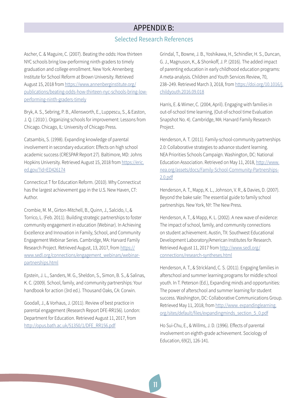### APPENDIX B:

#### Selected Research References

<span id="page-12-0"></span>Ascher, C. & Maguire, C. (2007). Beating the odds: How thirteen NYC schools bring low-performing ninth-graders to timely graduation and college enrollment. New York: Annenberg Institute for School Reform at Brown University. Retrieved August 15, 2018 from [https://www.annenberginstitute.org/](https://www.annenberginstitute.org/publications/beating-odds-how-thirteen-nyc-schools-bring-low-performing-ninth-graders-timely) [publications/beating-odds-how-thirteen-nyc-schools-bring-low](https://www.annenberginstitute.org/publications/beating-odds-how-thirteen-nyc-schools-bring-low-performing-ninth-graders-timely)[performing-ninth-graders-timely](https://www.annenberginstitute.org/publications/beating-odds-how-thirteen-nyc-schools-bring-low-performing-ninth-graders-timely)

Bryk, A. S., Sebring, P. B., Allensworth, E., Luppescu, S., & Easton, J. Q. ( 2010 ). Organizing schools for improvement: Lessons from Chicago. Chicago, IL: University of Chicago Press.

Catsambis, S. (1998). Expanding knowledge of parental involvement in secondary education: Effects on high school academic success (CRESPAR Report 27). Baltimore, MD: Johns Hopkins University. Retrieved August 15, 2018 from [https://eric.](https://eric.ed.gov/?id=ED426174) [ed.gov/?id=ED426174](https://eric.ed.gov/?id=ED426174)

Connecticut T for Education Reform. (2010). Why Connecticut has the largest achievement gap in the U.S. New Haven, CT: Author.

Crombie, M. M., Girton-Mitchell, B., Quinn, J., Salcido, I., & Torrico, L. (Feb. 2011). Building strategic partnerships to foster community engagement in education (Webinar). In Achieving Excellence and Innovation in Family, School, and Community Engagement Webinar Series. Cambridge, MA: Harvard Family Research Project. Retrieved August, 13, 2017, from [https://](https://www.sedl.org/connections/engagement_webinars/webinar-partnerships.html) [www.sedl.org/connections/engagement\\_webinars/webinar](https://www.sedl.org/connections/engagement_webinars/webinar-partnerships.html)[partnerships.html](https://www.sedl.org/connections/engagement_webinars/webinar-partnerships.html)

Epstein, J. L., Sanders, M. G., Sheldon, S., Simon, B. S., & Salinas, K. C. (2009). School, family, and community partnerships: Your handbook for action (3rd ed.). Thousand Oaks, CA: Corwin.

Goodall, J., & Vorhaus, J. (2011). Review of best practice in parental engagement (Research Report DFE-RR156). London: Department for Education. Retrieved August 11, 2017, from [http://opus.bath.ac.uk/51350/1/DFE\\_RR156.pdf](http://opus.bath.ac.uk/51350/1/DFE_RR156.pdf)

Grindal, T., Bowne, J. B., Yoshikawa, H., Schindler, H. S., Duncan, G. J., Magnuson, K., & Shonkoff, J. P. (2016). The added impact of parenting education in early childhood education programs: A meta-analysis. Children and Youth Services Review, 70, 238–249. Retrieved March 3, 2018, from [https://doi.org/10.1016/j.](https://doi.org/10.1016/j.childyouth.2016.09.018) [childyouth.2016.09.018](https://doi.org/10.1016/j.childyouth.2016.09.018)

Harris, E. & Wimer, C. (2004, April). Engaging with families in out-of-school time learning, (Out-of-school time Evaluation Snapshot No. 4). Cambridge, MA: Harvard Family Research Project.

Henderson, A. T. (2011). Family-school-community partnerships 2.0: Collaborative strategies to advance student learning. NEA Priorities Schools Campaign. Washington, DC: National Education Association. Retrieved on May 11, 2018, [http://www.](http://www.nea.org/assets/docs/Family-School-Community-Partnerships-2.0.pdf) [nea.org/assets/docs/Family-School-Community-Partnerships-](http://www.nea.org/assets/docs/Family-School-Community-Partnerships-2.0.pdf)[2.0.pdf](http://www.nea.org/assets/docs/Family-School-Community-Partnerships-2.0.pdf)

Henderson, A. T., Mapp, K. L., Johnson, V. R., & Davies, D. (2007). Beyond the bake sale: The essential guide to family school partnerships. New York, NY: The New Press.

Henderson, A. T., & Mapp, K. L. (2002). A new wave of evidence: The impact of school, family, and community connections on student achievement. Austin, TX: Southwest Educational Development Laboratory/American Institutes for Research. Retrieved August 11, 2017 from [http://www.sedl.org/](http://www.sedl.org/connections/research-syntheses.html) [connections/research-syntheses.html](http://www.sedl.org/connections/research-syntheses.html)

Henderson, A. T., & Strickland, C. S. (2011). Engaging families in afterschool and summer learning programs for middle school youth. In T. Peterson (Ed.), Expanding minds and opportunities: The power of afterschool and summer learning for student success. Washington, DC: Collaborative Communications Group. Retrieved May 11, 2018, from [http://www. exp](http://expandinglearning.org/sites/default/files/expandingminds_section_5_0.pdf)andinglearning. org/sites/default/files/expandingminds\_section\_5\_0.pdf

Ho Sui-Chu, E., & Willms, J. D. (1996). Effects of parental involvement on eighth-grade achievement. Sociology of Education, 69(2), 126-141.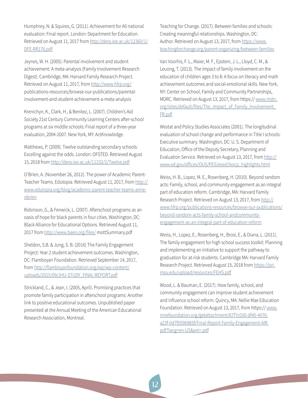Humphrey, N. & Squires, G. (2011). Achievement for All national evaluation: Final report. London: Department for Education. Retrieved on August 11, 2017 from [http://dera.ioe.ac.uk/12360/1/](http://dera.ioe.ac.uk/12360/1/DFE-RR176.pdf) [DFE-RR176.pdf](http://dera.ioe.ac.uk/12360/1/DFE-RR176.pdf)

Jeynes, W. H. (2005). Parental involvement and student achievement: A meta-analysis (Family Involvement Research Digest). Cambridge, MA: Harvard Family Research Project. Retrieved on August 11, 2017, from<http://www.hfrp.org/> publications-resources/browse-our-publications/parentalinvolvement-and-student-achievement-a-meta-analysis

Krenichyn, K., Clark, H., & Benitez, L. (2007). Children's Aid Society 21st Century Community Learning Centers after-school programs at six middle schools: Final report of a three-year evaluation, 2004-2007. New York, MY: ActKnowledge.

Matthews, P. (2009). Twelve outstanding secondary schools: Excelling against the odds. London: OFSTED. Retrieved August 15, 2018 from <http://dera.ioe.ac.uk/11232/2/Twelve.pdf>

O'Brien, A. (November 26, 2012). The power of Academic ParentTeacher Teams. Edutopia. Retrieved August 11, 2017, from [http://](http://www.edutopia.org/blog/academic-parent-teacher-teams-anne-obrien) [www.edutopia.org/blog/academic-parent-teacher-teams-anne](http://www.edutopia.org/blog/academic-parent-teacher-teams-anne-obrien)[obrien](http://www.edutopia.org/blog/academic-parent-teacher-teams-anne-obrien)

Robinson, G., & Fenwick, L. (2007). Afterschool programs as an oasis of hope for black parents in four cities. Washington, DC: Black Alliance for Educational Options. Retrieved August 11, 2017 from <http://www.baeo.org/files/>mottSummary.pdf

Sheldon, S.B. & Jung, S. B. (2016) The Family Engagement Project: Year 2 student achievement outcomes. Washington, DC: Flamboyan Foundation. Retrieved September 14, 2017, from [http://flamboyanfoundation.org/wp/wp-content/](http://flamboyanfoundation.org/wp/wp-content/uploads/2015/09/JHU-STUDY_FINAL-REPORT.pdf) [uploads/2015/09/JHU-STUDY\\_FINAL-REPORT.pdf](http://flamboyanfoundation.org/wp/wp-content/uploads/2015/09/JHU-STUDY_FINAL-REPORT.pdf)

Strickland, C., & Jean, I. (2005, April). Promising practices that promote family participation in afterschool programs: Another link to positive educational outcomes. Unpublished paper presented at the Annual Meeting of the American Educational Research Association, Montreal.

Teaching for Change. (2017). Between families and schools: Creating meaningful relationships. Washington, DC: Author. Retrieved on August 13, 2017, from [https://www.](https://www.teachingforchange.org/parent-organizing/between-families) [teachingforchange.org/parent-organizing/between-families](https://www.teachingforchange.org/parent-organizing/between-families)

Van Voorhis, F. L., Maier, M. F., Epstein, J. L., Lloyd, C. M., & Leuong, T. (2013). The impact of family involvement on the education of children ages 3 to 8: A focus on literacy and math achievement outcomes and social-emotional skills. New York, NY: Center on School, Family and Community Partnerships, MDRC. Retrieved on August 13, 2017, from https:// [www.mdrc.](http://www.mdrc.org/sites/default/files/The_Impact_of_Family_Involvement_FR.pdf) org/sites/default/files/The Impact of Family Involvement [FR.pdf](http://www.mdrc.org/sites/default/files/The_Impact_of_Family_Involvement_FR.pdf)

Westat and Policy Studies Associates (2001). The longitudinal evaluation of school change and performance in Title I schools: Executive summary. Washington, DC: U. S. Department of Education, Office of the Deputy Secretary, Planning and Evaluation Service. Retrieved on August 13, 2017, from [http://](http://www.ed.gov/offices/OUS/PES/esed/lescp_highlights.html) [www.ed.gov/offices/OUS/PES/esed/lescp\\_highlights.html](http://www.ed.gov/offices/OUS/PES/esed/lescp_highlights.html)

Weiss, H. B., Lopez, M. E., Rosenberg, H. (2010). Beyond random acts: Family, school, and community engagement as an integral part of education reform. Cambridge, MA: Harvard Family Research Project. Retrieved on August 13, 2017, from [http://](http://www.hfrp.org/publications-resources/browse-our-publications/beyond-random-acts-family-school-andcommunity-engagement-as-an-integral-part-of-education-reform) [www.hfrp.org/publications-resources/browse-our-publications/](http://www.hfrp.org/publications-resources/browse-our-publications/beyond-random-acts-family-school-andcommunity-engagement-as-an-integral-part-of-education-reform) [beyond-random-acts-family-school-andcommunity](http://www.hfrp.org/publications-resources/browse-our-publications/beyond-random-acts-family-school-andcommunity-engagement-as-an-integral-part-of-education-reform)[engagement-as-an-integral-part-of-education-reform](http://www.hfrp.org/publications-resources/browse-our-publications/beyond-random-acts-family-school-andcommunity-engagement-as-an-integral-part-of-education-reform)

Weiss, H., Lopez, E., Rosenberg, H., Brosi, E., & Diana, L. (2011). The family engagement for high school success toolkit: Planning and implementing an initiative to support the pathway to graduation for at-risk students. Cambridge MA: Harvard Family Research Project. Retrieved August 15, 2018 from [https://jsri.](https://jsri.msu.edu/upload/resources/FEHS.pdf) [msu.edu/upload/resources/FEHS.pdf](https://jsri.msu.edu/upload/resources/FEHS.pdf)

Wood, L. & Bauman, E. (2017). How family, school, and community engagement can improve student achievement and influence school reform. Quincy, MA: Nellie Mae Education Foundation. Retrieved on August 13, 2017, from https:// [www.](http://www.nmefoundation.org/getattachment/67f7c030-df45-4076-a23f-0d7f0596983f/Final-Report-Family-Engagement-AIR.pdf?lang=en-US&ext=.pdf) [nmefoundation.org/getattachment/67f7c030-df45-4076](http://www.nmefoundation.org/getattachment/67f7c030-df45-4076-a23f-0d7f0596983f/Final-Report-Family-Engagement-AIR.pdf?lang=en-US&ext=.pdf) [a23f-0d7f0596983f/Final-Report-Family-Engagement-AIR.](http://www.nmefoundation.org/getattachment/67f7c030-df45-4076-a23f-0d7f0596983f/Final-Report-Family-Engagement-AIR.pdf?lang=en-US&ext=.pdf) [pdf?lang=en-US&ext=.pdf](http://www.nmefoundation.org/getattachment/67f7c030-df45-4076-a23f-0d7f0596983f/Final-Report-Family-Engagement-AIR.pdf?lang=en-US&ext=.pdf)